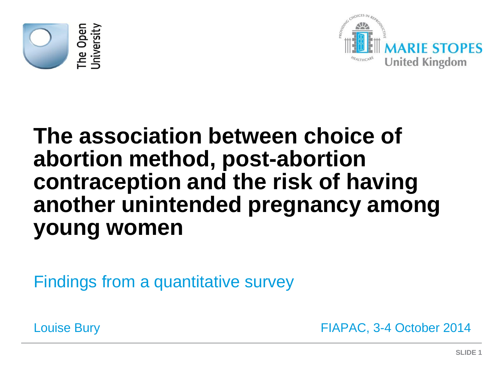



# **The association between choice of abortion method, post-abortion contraception and the risk of having another unintended pregnancy among young women**

Findings from a quantitative survey

Louise Bury FIAPAC, 3-4 October 2014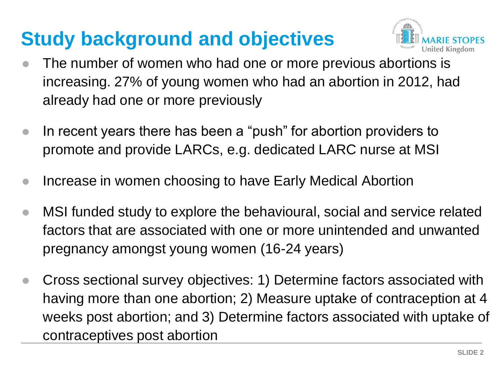# **Study background and objectives**



- The number of women who had one or more previous abortions is increasing. 27% of young women who had an abortion in 2012, had already had one or more previously
- In recent years there has been a "push" for abortion providers to promote and provide LARCs, e.g. dedicated LARC nurse at MSI
- Increase in women choosing to have Early Medical Abortion
- MSI funded study to explore the behavioural, social and service related factors that are associated with one or more unintended and unwanted pregnancy amongst young women (16-24 years)
- Cross sectional survey objectives: 1) Determine factors associated with having more than one abortion; 2) Measure uptake of contraception at 4 weeks post abortion; and 3) Determine factors associated with uptake of contraceptives post abortion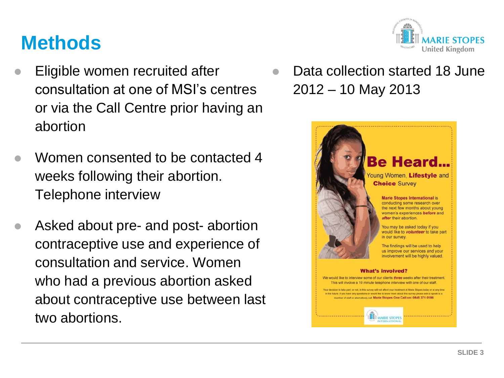### **Methods**

- Eligible women recruited after consultation at one of MSI's centres or via the Call Centre prior having an abortion
- Women consented to be contacted 4 weeks following their abortion. Telephone interview
- Asked about pre- and post- abortion contraceptive use and experience of consultation and service. Women who had a previous abortion asked about contraceptive use between last two abortions.



 Data collection started 18 June 2012 – 10 May 2013

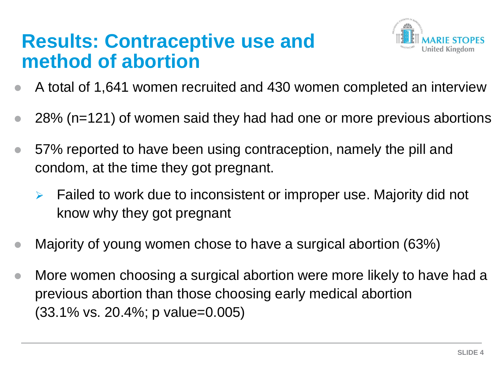### **Results: Contraceptive use and method of abortion**



- A total of 1,641 women recruited and 430 women completed an interview
- 28% (n=121) of women said they had had one or more previous abortions
- 57% reported to have been using contraception, namely the pill and condom, at the time they got pregnant.
	- $\triangleright$  Failed to work due to inconsistent or improper use. Majority did not know why they got pregnant
- Majority of young women chose to have a surgical abortion (63%)
- More women choosing a surgical abortion were more likely to have had a previous abortion than those choosing early medical abortion (33.1% vs. 20.4%; p value=0.005)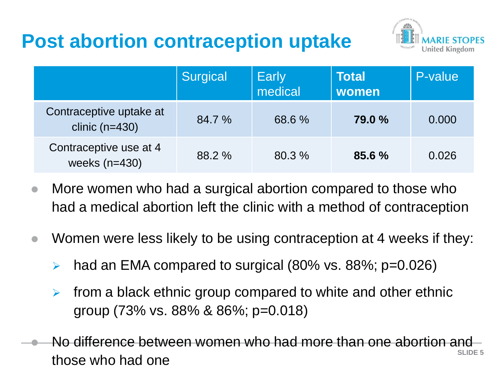## **Post abortion contraception uptake**



|                                             | Surgical | Early<br>medical | <b>Total</b><br>women | P-value |
|---------------------------------------------|----------|------------------|-----------------------|---------|
| Contraceptive uptake at<br>clinic $(n=430)$ | 84.7 %   | 68.6 %           | 79.0 %                | 0.000   |
| Contraceptive use at 4<br>weeks $(n=430)$   | 88.2 %   | 80.3 %           | 85.6%                 | 0.026   |

- More women who had a surgical abortion compared to those who had a medical abortion left the clinic with a method of contraception
- Women were less likely to be using contraception at 4 weeks if they:
	- had an EMA compared to surgical (80% vs. 88%; p=0.026)
	- $\triangleright$  from a black ethnic group compared to white and other ethnic group (73% vs. 88% & 86%; p=0.018)
- **SLIDE 5** No difference between women who had more than one abortion and those who had one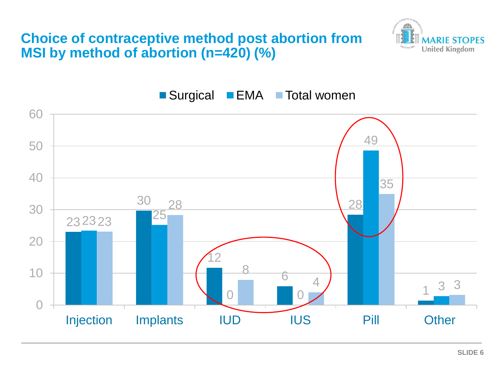#### **Choice of contraceptive method post abortion from MSI by method of abortion (n=420) (%)**





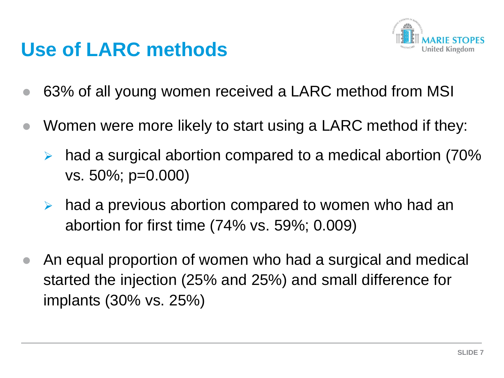### **Use of LARC methods**



- 63% of all young women received a LARC method from MSI
- Women were more likely to start using a LARC method if they:
	- had a surgical abortion compared to a medical abortion (70% vs. 50%; p=0.000)
	- $\triangleright$  had a previous abortion compared to women who had an abortion for first time (74% vs. 59%; 0.009)
- An equal proportion of women who had a surgical and medical started the injection (25% and 25%) and small difference for implants (30% vs. 25%)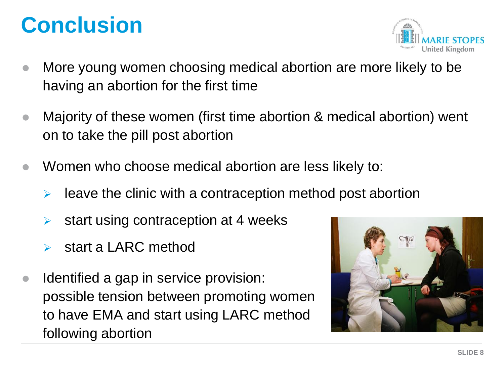# **Conclusion**



- More young women choosing medical abortion are more likely to be having an abortion for the first time
- Majority of these women (first time abortion & medical abortion) went on to take the pill post abortion
- Women who choose medical abortion are less likely to:
	- leave the clinic with a contraception method post abortion
	- start using contraception at 4 weeks
	- start a LARC method
- Identified a gap in service provision: possible tension between promoting women to have EMA and start using LARC method following abortion

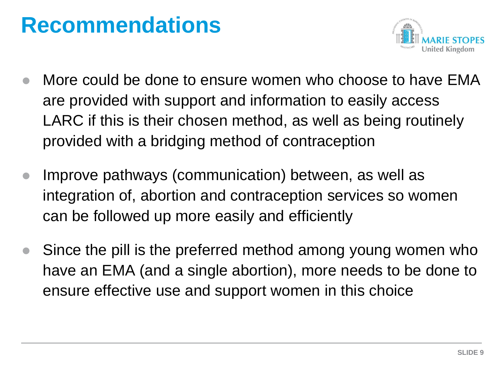# **Recommendations**



- More could be done to ensure women who choose to have EMA are provided with support and information to easily access LARC if this is their chosen method, as well as being routinely provided with a bridging method of contraception
- Improve pathways (communication) between, as well as integration of, abortion and contraception services so women can be followed up more easily and efficiently
- Since the pill is the preferred method among young women who have an EMA (and a single abortion), more needs to be done to ensure effective use and support women in this choice